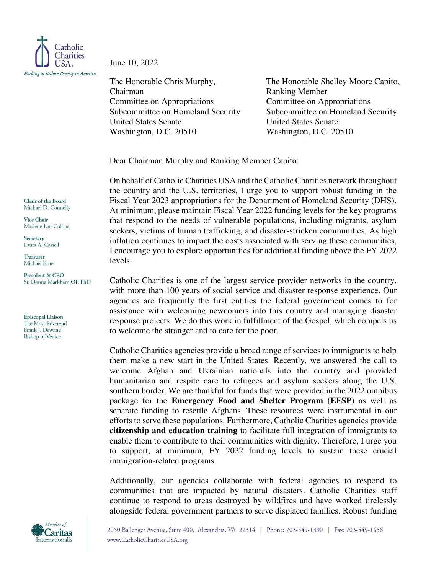

June 10, 2022

The Honorable Chris Murphy, Chairman Committee on Appropriations Subcommittee on Homeland Security United States Senate Washington, D.C. 20510

The Honorable Shelley Moore Capito, Ranking Member Committee on Appropriations Subcommittee on Homeland Security United States Senate Washington, D.C. 20510

Dear Chairman Murphy and Ranking Member Capito:

On behalf of Catholic Charities USA and the Catholic Charities network throughout the country and the U.S. territories, I urge you to support robust funding in the Fiscal Year 2023 appropriations for the Department of Homeland Security (DHS). At minimum, please maintain Fiscal Year 2022 funding levels for the key programs that respond to the needs of vulnerable populations, including migrants, asylum seekers, victims of human trafficking, and disaster-stricken communities. As high inflation continues to impact the costs associated with serving these communities, I encourage you to explore opportunities for additional funding above the FY 2022 levels.

Catholic Charities is one of the largest service provider networks in the country, with more than 100 years of social service and disaster response experience. Our agencies are frequently the first entities the federal government comes to for assistance with welcoming newcomers into this country and managing disaster response projects. We do this work in fulfillment of the Gospel, which compels us to welcome the stranger and to care for the poor.

Catholic Charities agencies provide a broad range of services to immigrants to help them make a new start in the United States. Recently, we answered the call to welcome Afghan and Ukrainian nationals into the country and provided humanitarian and respite care to refugees and asylum seekers along the U.S. southern border. We are thankful for funds that were provided in the 2022 omnibus package for the **Emergency Food and Shelter Program (EFSP)** as well as separate funding to resettle Afghans. These resources were instrumental in our efforts to serve these populations. Furthermore, Catholic Charities agencies provide **citizenship and education training** to facilitate full integration of immigrants to enable them to contribute to their communities with dignity. Therefore, I urge you to support, at minimum, FY 2022 funding levels to sustain these crucial immigration-related programs.

Additionally, our agencies collaborate with federal agencies to respond to communities that are impacted by natural disasters. Catholic Charities staff continue to respond to areas destroyed by wildfires and have worked tirelessly alongside federal government partners to serve displaced families. Robust funding



Chair of the Board Michael D. Connelly

Vice Chair Marlene Lao-Collins

Secretary Laura A. Cassell

Treasurer Michael Erne

President & CEO Sr. Donna Markham OP, PhD

Episcopal Liaison The Most Reverend Frank J. Dewane **Bishop of Venice**